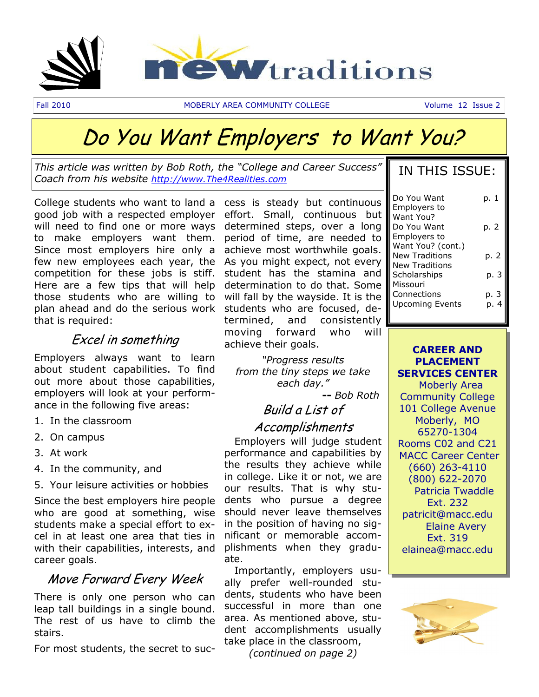

# Do You Want Employers to Want You?

*This article was written by Bob Roth, the "College and Career Success" Coach from his website <http://www.The4Realities.com>*

College students who want to land a cess is steady but continuous good job with a respected employer effort. Small, continuous but will need to find one or more ways determined steps, over a long to make employers want them. Since most employers hire only a few new employees each year, the competition for these jobs is stiff. Here are a few tips that will help those students who are willing to plan ahead and do the serious work that is required:

### Excel in something

Employers always want to learn about student capabilities. To find out more about those capabilities, employers will look at your performance in the following five areas:

- 1. In the classroom
- 2. On campus
- 3. At work
- 4. In the community, and
- 5. Your leisure activities or hobbies

Since the best employers hire people who are good at something, wise students make a special effort to excel in at least one area that ties in with their capabilities, interests, and career goals.

### Move Forward Every Week

There is only one person who can leap tall buildings in a single bound. The rest of us have to climb the stairs.

For most students, the secret to suc-

period of time, are needed to achieve most worthwhile goals. As you might expect, not every student has the stamina and determination to do that. Some will fall by the wayside. It is the students who are focused, determined, and consistently moving forward who will achieve their goals.

*"Progress results from the tiny steps we take each day."*

 **--** *Bob Roth* 

## Build a List of

### Accomplishments

 Employers will judge student performance and capabilities by the results they achieve while in college. Like it or not, we are our results. That is why students who pursue a degree should never leave themselves in the position of having no significant or memorable accomplishments when they graduate.

 Importantly, employers usually prefer well-rounded students, students who have been successful in more than one area. As mentioned above, student accomplishments usually take place in the classroom, *(continued on page 2)*

|  | IN THIS ISSUE: |
|--|----------------|
|  |                |

| Do You Want            | p. 1 |
|------------------------|------|
| <b>Employers to</b>    |      |
| Want You?              |      |
| Do You Want            | p. 2 |
| <b>Employers to</b>    |      |
| Want You? (cont.)      |      |
| <b>New Traditions</b>  | p. 2 |
| <b>New Traditions</b>  |      |
| Scholarships           | p. 3 |
| Missouri               |      |
| Connections            | p. 3 |
| <b>Upcoming Events</b> |      |
|                        |      |

**CAREER AND PLACEMENT SERVICES CENTER** Moberly Area Community College 101 College Avenue Moberly, MO 65270-1304 Rooms C02 and C21 MACC Career Center (660) 263-4110 (800) 622-2070 Patricia Twaddle Ext. 232 patricit@macc.edu Elaine Avery Ext. 319 elainea@macc.edu

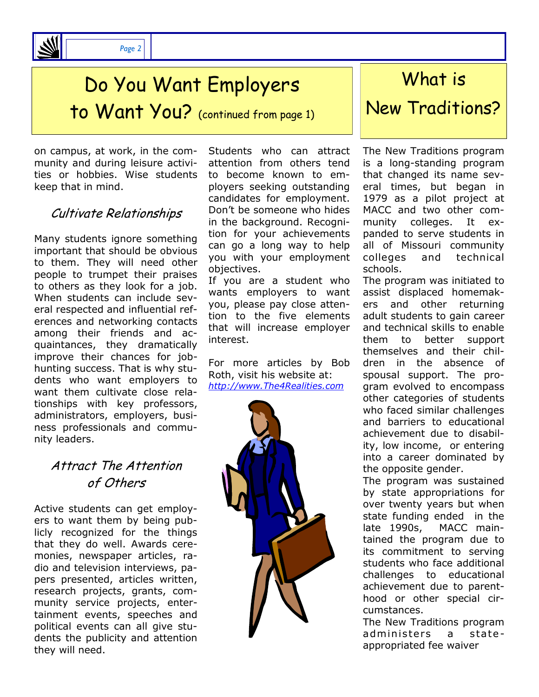

# Do You Want Employers

to Want You? (continued from page 1)

on campus, at work, in the community and during leisure activities or hobbies. Wise students keep that in mind.

## Cultivate Relationships

Many students ignore something important that should be obvious to them. They will need other people to trumpet their praises to others as they look for a job. When students can include several respected and influential references and networking contacts among their friends and acquaintances, they dramatically improve their chances for jobhunting success. That is why students who want employers to want them cultivate close relationships with key professors, administrators, employers, business professionals and community leaders.

## Attract The Attention of Others

Active students can get employers to want them by being publicly recognized for the things that they do well. Awards ceremonies, newspaper articles, radio and television interviews, papers presented, articles written, research projects, grants, community service projects, entertainment events, speeches and political events can all give students the publicity and attention they will need.

Students who can attract attention from others tend to become known to employers seeking outstanding candidates for employment. Don't be someone who hides in the background. Recognition for your achievements can go a long way to help you with your employment objectives.

If you are a student who wants employers to want you, please pay close attention to the five elements that will increase employer interest.

For more articles by Bob Roth, visit his website at: *<http://www.The4Realities.com>*



## What is

## New Traditions?

The New Traditions program is a long-standing program that changed its name several times, but began in 1979 as a pilot project at MACC and two other community colleges. It expanded to serve students in all of Missouri community colleges and technical schools.

The program was initiated to assist displaced homemakers and other returning adult students to gain career and technical skills to enable them to better support themselves and their children in the absence of spousal support. The program evolved to encompass other categories of students who faced similar challenges and barriers to educational achievement due to disability, low income, or entering into a career dominated by the opposite gender.

The program was sustained by state appropriations for over twenty years but when state funding ended in the late 1990s, MACC maintained the program due to its commitment to serving students who face additional challenges to educational achievement due to parenthood or other special circumstances.

The New Traditions program administers a stateappropriated fee waiver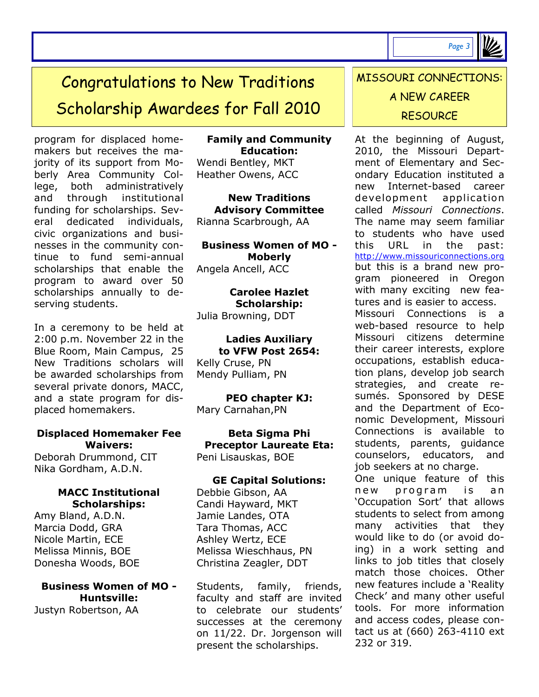*Page 3*

# Congratulations to New Traditions Scholarship Awardees for Fall 2010

program for displaced homemakers but receives the majority of its support from Moberly Area Community College, both administratively and through institutional funding for scholarships. Several dedicated individuals, civic organizations and businesses in the community continue to fund semi-annual scholarships that enable the program to award over 50 scholarships annually to deserving students.

In a ceremony to be held at 2:00 p.m. November 22 in the Blue Room, Main Campus, 25 New Traditions scholars will be awarded scholarships from several private donors, MACC, and a state program for displaced homemakers.

#### **Displaced Homemaker Fee Waivers:**

Deborah Drummond, CIT Nika Gordham, A.D.N.

#### **MACC Institutional Scholarships:**

Amy Bland, A.D.N. Marcia Dodd, GRA Nicole Martin, ECE Melissa Minnis, BOE Donesha Woods, BOE

### **Business Women of MO - Huntsville:**

Justyn Robertson, AA

**Family and Community Education:** Wendi Bentley, MKT Heather Owens, ACC

**New Traditions Advisory Committee** Rianna Scarbrough, AA

**Business Women of MO - Moberly** Angela Ancell, ACC

**Carolee Hazlet Scholarship:** Julia Browning, DDT

#### **Ladies Auxiliary to VFW Post 2654:**

Kelly Cruse, PN Mendy Pulliam, PN

**PEO chapter KJ:** Mary Carnahan,PN

**Beta Sigma Phi Preceptor Laureate Eta:** Peni Lisauskas, BOE

#### **GE Capital Solutions:**  Debbie Gibson, AA Candi Hayward, MKT Jamie Landes, OTA Tara Thomas, ACC Ashley Wertz, ECE Melissa Wieschhaus, PN Christina Zeagler, DDT

Students, family, friends, faculty and staff are invited to celebrate our students' successes at the ceremony on 11/22. Dr. Jorgenson will present the scholarships.

## MISSOURI CONNECTIONS: A NEW CAREER **RESOURCE**

At the beginning of August, 2010, the Missouri Department of Elementary and Secondary Education instituted a new Internet-based career development application called *Missouri Connections*. The name may seem familiar to students who have used this URL in the past: [http://www.missouriconnections.org](http://www.missouriconnections.org/)  but this is a brand new program pioneered in Oregon with many exciting new features and is easier to access. Missouri Connections is a web-based resource to help Missouri citizens determine their career interests, explore occupations, establish education plans, develop job search strategies, and create resumés. Sponsored by DESE and the Department of Economic Development, Missouri Connections is available to students, parents, guidance counselors, educators, and job seekers at no charge. One unique feature of this new program is an 'Occupation Sort' that allows students to select from among many activities that they would like to do (or avoid doing) in a work setting and links to job titles that closely match those choices. Other new features include a 'Reality Check' and many other useful tools. For more information and access codes, please contact us at (660) 263-4110 ext

232 or 319.